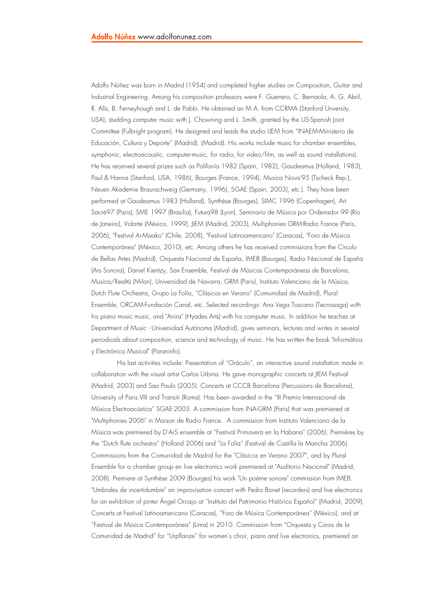Adolfo Núñez was born in Madrid (1954) and completed higher studies on Composition, Guitar and Industrial Engineering. Among his composition professors were F. Guerrero, C. Bernaola, A. G. Abril, R. Alís, B. Ferneyhough and L. de Pablo. He obtained an M.A. from CCRMA (Stanford Unversity, USA), studding computer music with J. Chowning and L. Smith, granted by the US-Spanish Joint Committee (Fulbright program). He designed and leads the studio LIEM from "INAEM-Ministerio de Educación, Cultura y Deporte" (Madrid). (Madrid). His works include music for chamber ensembles, symphonic, electroacoustic, computer-music, for radio, for video/film, as well as sound installations). He has received several prizes such as Polifonía 1982 (Spain, 1982), Gaudeamus (Holland, 1983), Paul & Hanna (Stanford, USA, 1986), Bourges (France, 1994), Musica Nova'95 (Tscheck Rep.), Neuen Akademie Braunschweig (Germany, 1996), SGAE (Spain, 2003), etc.). They have been performed at Gaudeamus 1983 (Holland), Synthèse (Bourges), SIMC 1996 (Copenhagen), Art Sacré97 (Paris), SME 1997 (Brasilia), Futura98 (Lyon), Seminario de Música por Ordenador 99 (Río de Janeiro), Vidarte (México, 1999), JIEM (Madrid, 2003), Multiphonies GRM-Radio France (Paris, 2006), "Festival Ai-Maako" (Chile, 2008), "Festival Latinoamericano" (Caracas), "Foro de Música Contemporánea" (México, 2010), etc. Among others he has received commissions from the Círculo de Bellas Artes (Madrid), Orquesta Nacional de España, IMEB (Bourges), Radio Nacional de España (Ars Sonora), Daniel Kientzy, Sax Ensemble, Festival de Músicas Contemporáneas de Barcelona, Musica/Realtá (Milan), Universidad de Navarra, GRM (Paris), Instituto Valenciano de la Música, Dutch Flute Orchestra, Grupo La Folía, "Clásicos en Verano" (Comunidad de Madrid), Plural Ensemble, ORCAM-Fundación Canal, etc. Selected recordings: Ana Vega Toscano (Tecnosaga) with his piano music music, and "Anira" (Hyades Arts) with his computer music. In addition he teaches at Department of Music - Universidad Autónoma (Madrid), gives seminars, lectures and writes in several periodicals about composition, science and technology of music. He has written the book "Informática y Electrónica Musical" (Paraninfo).

His last activities include: Presentation of "Oráculo", an interactive sound installation made in collaboration with the visual artist Carlos Urbina. He gave monographic concerts at JIEM Festival (Madrid, 2003) and Sao Paulo (2005). Concerts at CCCB Barcelona (Percussions de Barcelona), University of Paris VIII and Transiti (Roma). Has been awarded in the "III Premio Internacional de Música Electroacústica" SGAE-2003. A commission from INA-GRM (Paris) that was premiered at "Multiphonies 2006" in Maison de Radio France. A commission from Instituto Valenciano de la Música was premiered by D'ArS ensemble at "Festival Primavera en la Habana" (2006). Premières by the "Dutch flute orchestra" (Holland 2006) and "La Folía" (Festival de Castilla la Mancha 2006). Commissions from the Comunidad de Madrid for the "Clásicos en Verano 2007", and by Plural Ensemble for a chamber group en live electronics work premiered at "Auditorio Nacional" (Madrid, 2008). Premiere at Synthèse 2009 (Bourges) his work "Un poème sonore" commission from IMEB. "Umbrales de incertidumbre" an improvisation concert with Pedro Bonet (recorders) and live electronics for an exhibition of pinter Ángel Orcajo at "Instituto del Patrimonio Histórico Español" (Madrid, 2009). Concerts at Festival Latinoamericano (Caracas), "Foro de Música Contemporánea" (México), and at "Festival de Música Contemporánea" (Lima) in 2010. Commission from "Orquesta y Coros de la Comunidad de Madrid" for "Urpflanze" for women's choir, piano and live electronics, premiered on